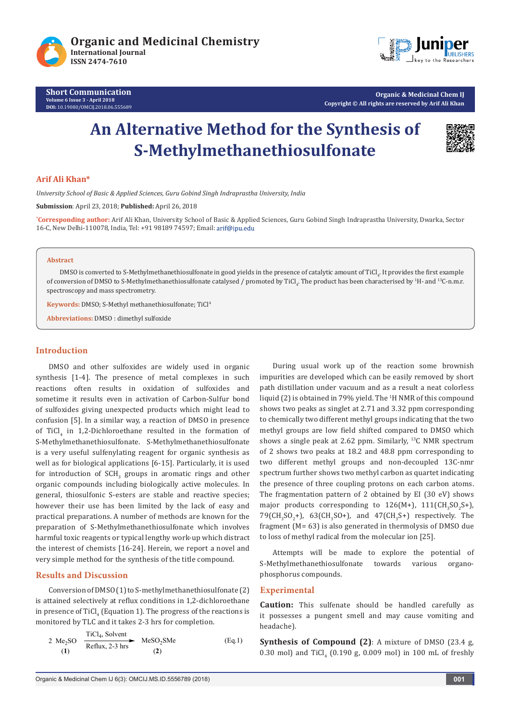

**Organic & Medicinal Chem IJ Copyright © All rights are reserved by Arif Ali Khan**

# **An Alternative Method for the Synthesis of S-Methylmethanethiosulfonate**



# **Arif Ali Khan\***

*University School of Basic & Applied Sciences, Guru Gobind Singh Indraprastha University, India*

**Submission**: April 23, 2018; **Published:** April 26, 2018

**\* Corresponding author:** Arif Ali Khan, University School of Basic & Applied Sciences, Guru Gobind Singh Indraprastha University, Dwarka, Sector 16-C, New Delhi-110078, India, Tel: +91 98189 74597; Email:

## **Abstract**

DMSO is converted to S-Methylmethanethiosulfonate in good yields in the presence of catalytic amount of TiCl4 . It provides the first example of conversion of DMSO to S-Methylmethanethiosulfonate catalysed / promoted by TiCl<sub>4</sub>. The product has been characterised by <sup>1</sup>H- and <sup>13</sup>C-n.m.r. spectroscopy and mass spectrometry.

**Keywords:** DMSO; S-Methyl methanethiosulfonate; TiCl<sup>4</sup>

**Abbreviations:** DMSO : dimethyl sulfoxide

# **Introduction**

DMSO and other sulfoxides are widely used in organic synthesis [1-4]. The presence of metal complexes in such reactions often results in oxidation of sulfoxides and sometime it results even in activation of Carbon-Sulfur bond of sulfoxides giving unexpected products which might lead to confusion [5]. In a similar way, a reaction of DMSO in presence of TiCl<sub>4</sub> in 1,2-Dichloroethane resulted in the formation of S-Methylmethanethiosulfonate. S-Methylmethanethiosulfonate is a very useful sulfenylating reagent for organic synthesis as well as for biological applications [6-15]. Particularly, it is used for introduction of  $\text{SCH}_3$  groups in aromatic rings and other organic compounds including biologically active molecules. In general, thiosulfonic S-esters are stable and reactive species; however their use has been limited by the lack of easy and practical preparations. A number of methods are known for the preparation of S-Methylmethanethiosulfonate which involves harmful toxic reagents or typical lengthy work-up which distract the interest of chemists [16-24]. Herein, we report a novel and very simple method for the synthesis of the title compound.

# **Results and Discussion**

Conversion of DMSO (1) to S-methylmethanethiosulfonate (2) is attained selectively at reflux conditions in 1,2-dichloroethane in presence of  $\mathrm{TiCl}_{4}$  (Equation 1). The progress of the reactions is monitored by TLC and it takes 2-3 hrs for completion.

$$
2 \text{ Me}_2\text{SO} \quad \xrightarrow{\text{TiCl}_4, \text{Solvent}} \text{MeSO}_2\text{SMe} \quad (Eq.1)
$$
\n
$$
(1) \quad (2)
$$

During usual work up of the reaction some brownish impurities are developed which can be easily removed by short path distillation under vacuum and as a result a neat colorless liquid (2) is obtained in 79% yield. The 1 H NMR of this compound shows two peaks as singlet at 2.71 and 3.32 ppm corresponding to chemically two different methyl groups indicating that the two methyl groups are low field shifted compared to DMSO which shows a single peak at 2.62 ppm. Similarly, 13C NMR spectrum of 2 shows two peaks at 18.2 and 48.8 ppm corresponding to two different methyl groups and non-decoupled 13C-nmr spectrum further shows two methyl carbon as quartet indicating the presence of three coupling protons on each carbon atoms. The fragmentation pattern of 2 obtained by EI (30 eV) shows major products corresponding to  $126(M+)$ ,  $111(M_3SO_2S^+)$ ,  $79$ (CH<sub>3</sub>SO<sub>2</sub>+), 63(CH<sub>3</sub>SO+), and 47(CH<sub>3</sub>S+) respectively. The fragment (M= 63) is also generated in thermolysis of DMSO due to loss of methyl radical from the molecular ion [25].

Attempts will be made to explore the potential of S-Methylmethanethiosulfonate towards various organophosphorus compounds.

#### **Experimental**

**Caution:** This sulfenate should be handled carefully as it possesses a pungent smell and may cause vomiting and headache).

**Synthesis of Compound (2)**: A mixture of DMSO (23.4 g,  $0.30$  mol) and TiCl<sub>4</sub> ( $0.190$  g,  $0.009$  mol) in 100 mL of freshly